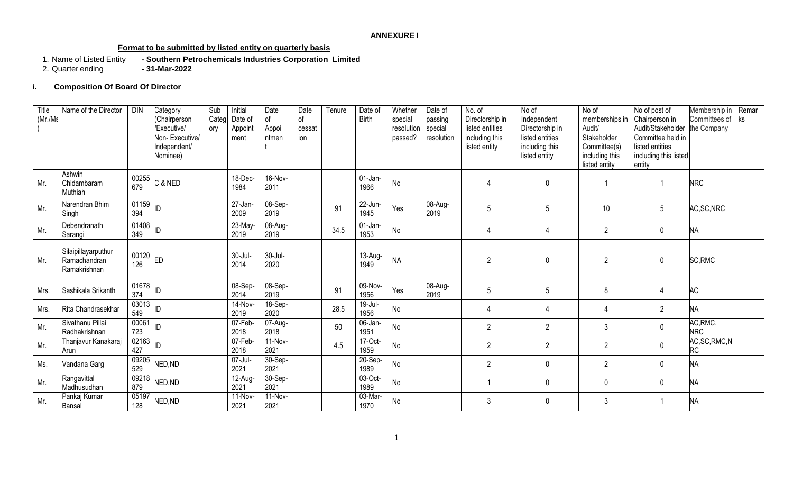### **ANNEXURE I**

### **Format to be submitted by listed entity on quarterly basis**

- Southern Petrochemicals Industries Corporation Limited<br>- 31-Mar-2022 1. Name of Listed Entity<br>2. Quarter ending
- 

## **i. Composition Of Board Of Director**

| Title<br>(Mr./Ms | Name of the Director                                | <b>DIN</b>   | Category<br>Chairperson<br>Executive/<br>Non-Executive/<br>Independent/<br>Nominee) | Sub<br>Categ<br>ory | Initial<br>Date of<br>Appoint<br>ment | Date<br>of<br>Appoi<br>ntmen | Date<br>$\circ$ f<br>cessat<br>ion | Tenure | Date of<br><b>Birth</b> | Whether<br>special<br>resolution<br>passed? | Date of<br>passing<br>special<br>resolution | No. of<br>Directorship in<br>listed entities<br>including this<br>listed entity | No of<br>Independent<br>Directorship in<br>listed entities<br>including this<br>listed entity | No of<br>memberships in<br>Audit/<br>Stakeholder<br>Committee(s)<br>including this<br>listed entity | No of post of<br>Chairperson in<br>Audit/Stakeholder<br>Committee held in<br>listed entities<br>including this listed<br>entity | Membership in Remar<br>Committees of ks<br>the Company |  |
|------------------|-----------------------------------------------------|--------------|-------------------------------------------------------------------------------------|---------------------|---------------------------------------|------------------------------|------------------------------------|--------|-------------------------|---------------------------------------------|---------------------------------------------|---------------------------------------------------------------------------------|-----------------------------------------------------------------------------------------------|-----------------------------------------------------------------------------------------------------|---------------------------------------------------------------------------------------------------------------------------------|--------------------------------------------------------|--|
| Mr.              | Ashwin<br>Chidambaram<br>Muthiah                    | 00255<br>679 | C & NED                                                                             |                     | 18-Dec-<br>1984                       | 16-Nov-<br>2011              |                                    |        | $01$ -Jan-<br>1966      | No                                          |                                             | $\overline{4}$                                                                  | $\Omega$                                                                                      |                                                                                                     |                                                                                                                                 | <b>NRC</b>                                             |  |
| Mr.              | Narendran Bhim<br>Singh                             | 01159<br>394 |                                                                                     |                     | 27-Jan-<br>2009                       | 08-Sep-<br>2019              |                                    | 91     | 22-Jun-<br>1945         | Yes                                         | 08-Aug-<br>2019                             | 5                                                                               | 5                                                                                             | 10                                                                                                  | 5                                                                                                                               | AC, SC, NRC                                            |  |
| Mr.              | Debendranath<br>Sarangi                             | 01408<br>349 |                                                                                     |                     | 23-May-<br>2019                       | 08-Aug-<br>2019              |                                    | 34.5   | $01$ -Jan-<br>1953      | No                                          |                                             | $\overline{4}$                                                                  | 4                                                                                             | $\overline{2}$                                                                                      | $\mathbf 0$                                                                                                                     | NА                                                     |  |
| Mr.              | Silaipillayarputhur<br>Ramachandran<br>Ramakrishnan | 00120<br>126 | ED                                                                                  |                     | 30-Jul-<br>2014                       | 30-Jul-<br>2020              |                                    |        | 13-Aug-<br>1949         | <b>NA</b>                                   |                                             | $\overline{2}$                                                                  | $\mathbf 0$                                                                                   | $\overline{2}$                                                                                      | $\mathbf 0$                                                                                                                     | SC, RMC                                                |  |
| Mrs.             | Sashikala Srikanth                                  | 01678<br>374 | ID                                                                                  |                     | 08-Sep-<br>2014                       | 08-Sep-<br>2019              |                                    | 91     | 09-Nov-<br>1956         | Yes                                         | 08-Aug-<br>2019                             | 5                                                                               | 5                                                                                             | 8                                                                                                   | 4                                                                                                                               | <b>AC</b>                                              |  |
| Mrs.             | Rita Chandrasekhar                                  | 03013<br>549 |                                                                                     |                     | 14-Nov-<br>2019                       | 18-Sep-<br>2020              |                                    | 28.5   | $19$ -Jul-<br>1956      | No                                          |                                             | $\overline{4}$                                                                  | 4                                                                                             | 4                                                                                                   | $\overline{2}$                                                                                                                  | NА                                                     |  |
| Mr.              | Sivathanu Pillai<br>Radhakrishnan                   | 00061<br>723 |                                                                                     |                     | 07-Feb-<br>2018                       | 07-Aug-<br>2018              |                                    | 50     | 06-Jan-<br>1951         | No                                          |                                             | $\overline{2}$                                                                  | $\overline{2}$                                                                                | 3                                                                                                   | $\mathbf 0$                                                                                                                     | AC, RMC,<br><b>NRC</b>                                 |  |
| Mr.              | Thanjavur Kanakaraj<br>Arun                         | 02163<br>427 |                                                                                     |                     | 07-Feb-<br>2018                       | $11-Nov-$<br>2021            |                                    | 4.5    | 17-Oct-<br>1959         | No                                          |                                             | $\overline{2}$                                                                  | $\overline{2}$                                                                                | $\overline{2}$                                                                                      | $\pmb{0}$                                                                                                                       | AC, SC, RMC, N<br>RC                                   |  |
| Ms.              | Vandana Garg                                        | 09205<br>529 | NED, ND                                                                             |                     | 07-Jul-<br>2021                       | 30-Sep-<br>2021              |                                    |        | 20-Sep-<br>1989         | No                                          |                                             | $\overline{2}$                                                                  | $\Omega$                                                                                      | $\overline{2}$                                                                                      | $\pmb{0}$                                                                                                                       | NА                                                     |  |
| Mr.              | Rangavittal<br>Madhusudhan                          | 09218<br>879 | NED, ND                                                                             |                     | 12-Aug-<br>2021                       | 30-Sep-<br>2021              |                                    |        | 03-Oct-<br>1989         | No                                          |                                             | $\overline{1}$                                                                  | $\Omega$                                                                                      | $\theta$                                                                                            | $\mathbf 0$                                                                                                                     | NА                                                     |  |
| Mr.              | Pankaj Kumar<br>Bansal                              | 05197<br>128 | NED, ND                                                                             |                     | 11-Nov-<br>2021                       | $11-Nov-$<br>2021            |                                    |        | 03-Mar-<br>1970         | No                                          |                                             | 3                                                                               | $\Omega$                                                                                      | 3                                                                                                   |                                                                                                                                 | NА                                                     |  |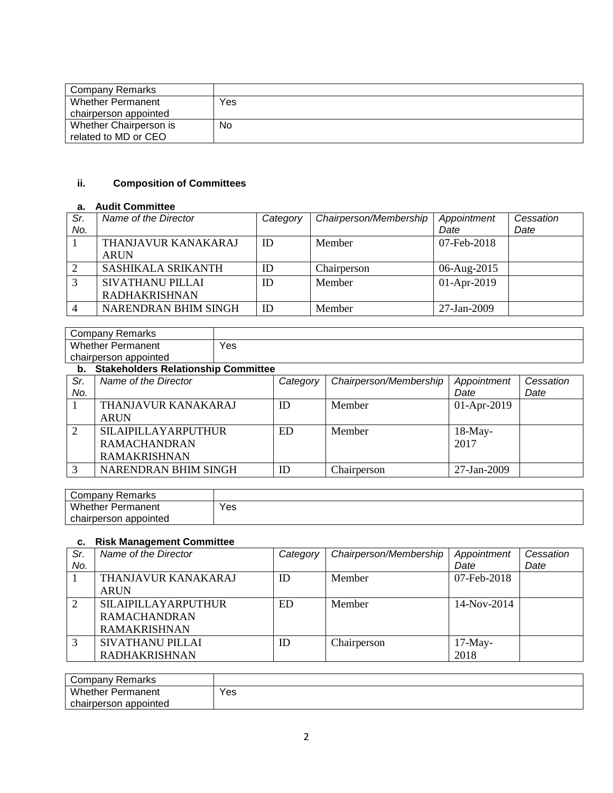| <b>Company Remarks</b> |     |
|------------------------|-----|
| Whether Permanent      | Yes |
| chairperson appointed  |     |
| Whether Chairperson is | No  |
| related to MD or CEO   |     |

# **ii. Composition of Committees**

## **a. Audit Committee**

| Sr. | Name of the Director | Category | Chairperson/Membership | Appointment   | Cessation |
|-----|----------------------|----------|------------------------|---------------|-----------|
| No. |                      |          |                        | Date          | Date      |
|     | THANJAVUR KANAKARAJ  | ID       | Member                 | 07-Feb-2018   |           |
|     | <b>ARUN</b>          |          |                        |               |           |
|     | SASHIKALA SRIKANTH   | ID       | Chairperson            | 06-Aug-2015   |           |
|     | SIVATHANU PILLAI     | ID       | Member                 | $01-Apr-2019$ |           |
|     | <b>RADHAKRISHNAN</b> |          |                        |               |           |
|     | NARENDRAN BHIM SINGH | ID       | Member                 | 27-Jan-2009   |           |

| Company Remarks          |     |
|--------------------------|-----|
| <b>Whether Permanent</b> | Yes |
| chairperson appointed    |     |

### **b. Stakeholders Relationship Committee**

| Sr. | Name of the Director       | Category | Chairperson/Membership | Appointment   | Cessation |
|-----|----------------------------|----------|------------------------|---------------|-----------|
| No. |                            |          |                        | Date          | Date      |
|     | THANJAVUR KANAKARAJ        | ID       | Member                 | $01-Apr-2019$ |           |
|     | <b>ARUN</b>                |          |                        |               |           |
| 2   | <b>SILAIPILLAYARPUTHUR</b> | ED.      | Member                 | $18$ -May-    |           |
|     | <b>RAMACHANDRAN</b>        |          |                        | 2017          |           |
|     | <b>RAMAKRISHNAN</b>        |          |                        |               |           |
|     | NARENDRAN BHIM SINGH       | ID       | Chairperson            | 27-Jan-2009   |           |

| $\overline{\phantom{a}}$<br>≺emarks<br>∶ompanv |     |
|------------------------------------------------|-----|
| Whether<br>Permanent                           | Yes |
| appointed<br>chairperson                       |     |

### **c. Risk Management Committee**

| Sr. | Name of the Director       | Category | Chairperson/Membership | Appointment   | Cessation |
|-----|----------------------------|----------|------------------------|---------------|-----------|
| No. |                            |          |                        | Date          | Date      |
|     | THANJAVUR KANAKARAJ        | ID       | Member                 | 07-Feb-2018   |           |
|     | <b>ARUN</b>                |          |                        |               |           |
| 2   | <b>SILAIPILLAYARPUTHUR</b> | ED.      | Member                 | $14-Nov-2014$ |           |
|     | <b>RAMACHANDRAN</b>        |          |                        |               |           |
|     | <b>RAMAKRISHNAN</b>        |          |                        |               |           |
| 3   | SIVATHANU PILLAI           | ID       | Chairperson            | $17-May-$     |           |
|     | <b>RADHAKRISHNAN</b>       |          |                        | 2018          |           |

| Company Remarks          |     |
|--------------------------|-----|
| <b>Whether Permanent</b> | Yes |
| chairperson appointed    |     |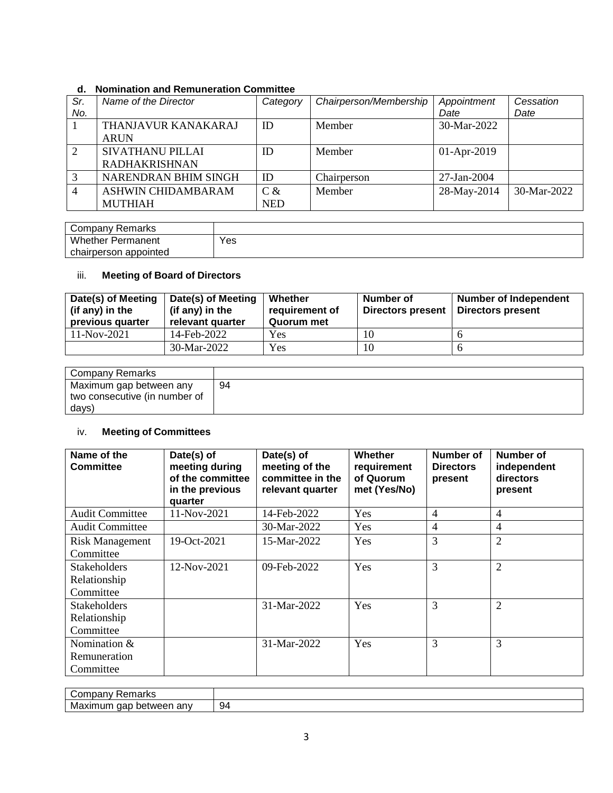## **d. Nomination and Remuneration Committee**

| Sr. | Name of the Director | Category   | Chairperson/Membership | Appointment   | Cessation   |
|-----|----------------------|------------|------------------------|---------------|-------------|
| No. |                      |            |                        | Date          | Date        |
|     | THANJAVUR KANAKARAJ  | ID         | Member                 | 30-Mar-2022   |             |
|     | <b>ARUN</b>          |            |                        |               |             |
| 2   | SIVATHANU PILLAI     | ID         | Member                 | $01-Apr-2019$ |             |
|     | <b>RADHAKRISHNAN</b> |            |                        |               |             |
| 3   | NARENDRAN BHIM SINGH | ID         | Chairperson            | 27-Jan-2004   |             |
|     | ASHWIN CHIDAMBARAM   | $C \&$     | Member                 | 28-May-2014   | 30-Mar-2022 |
|     | <b>MUTHIAH</b>       | <b>NED</b> |                        |               |             |

| Remarks<br>∵ompany ت     |     |
|--------------------------|-----|
| <b>Whether Permanent</b> | Yes |
| chairperson appointed    |     |

## iii. **Meeting of Board of Directors**

| Date(s) of Meeting<br>(if any) in the<br>previous quarter | Date(s) of Meeting<br>(if any) in the<br>relevant quarter | Whether<br>requirement of<br>Quorum met | Number of<br>Directors present | <b>Number of Independent</b><br><b>Directors present</b> |
|-----------------------------------------------------------|-----------------------------------------------------------|-----------------------------------------|--------------------------------|----------------------------------------------------------|
| 11-Nov-2021                                               | 14-Feb-2022                                               | <b>Yes</b>                              |                                |                                                          |
|                                                           | $30-Mar-2022$                                             | Yes                                     | 10                             |                                                          |

| Company Remarks               |    |
|-------------------------------|----|
| Maximum gap between any       | 94 |
| two consecutive (in number of |    |
| days)                         |    |

# iv. **Meeting of Committees**

| Name of the<br><b>Committee</b> | Date(s) of<br>meeting during<br>of the committee<br>in the previous<br>quarter | Date(s) of<br>meeting of the<br>committee in the<br>relevant quarter | Whether<br>requirement<br>of Quorum<br>met (Yes/No) | Number of<br><b>Directors</b><br>present | Number of<br>independent<br>directors<br>present |
|---------------------------------|--------------------------------------------------------------------------------|----------------------------------------------------------------------|-----------------------------------------------------|------------------------------------------|--------------------------------------------------|
| <b>Audit Committee</b>          | 11-Nov-2021                                                                    | 14-Feb-2022                                                          | Yes                                                 | 4                                        | $\overline{4}$                                   |
| <b>Audit Committee</b>          |                                                                                | 30-Mar-2022                                                          | Yes                                                 | 4                                        | $\overline{4}$                                   |
| <b>Risk Management</b>          | 19-Oct-2021                                                                    | 15-Mar-2022                                                          | Yes                                                 | 3                                        | $\overline{2}$                                   |
| Committee                       |                                                                                |                                                                      |                                                     |                                          |                                                  |
| <b>Stakeholders</b>             | 12-Nov-2021                                                                    | 09-Feb-2022                                                          | Yes                                                 | 3                                        | $\overline{2}$                                   |
| Relationship                    |                                                                                |                                                                      |                                                     |                                          |                                                  |
| Committee                       |                                                                                |                                                                      |                                                     |                                          |                                                  |
| <b>Stakeholders</b>             |                                                                                | 31-Mar-2022                                                          | Yes                                                 | 3                                        | $\overline{2}$                                   |
| Relationship                    |                                                                                |                                                                      |                                                     |                                          |                                                  |
| Committee                       |                                                                                |                                                                      |                                                     |                                          |                                                  |
| Nomination &                    |                                                                                | 31-Mar-2022                                                          | Yes                                                 | 3                                        | 3                                                |
| Remuneration                    |                                                                                |                                                                      |                                                     |                                          |                                                  |
| Committee                       |                                                                                |                                                                      |                                                     |                                          |                                                  |

| -<br>.<br>⊡arru<br>. ibdi iv<br>ັ               |    |
|-------------------------------------------------|----|
| Mε<br>an∖<br>าximum<br>petweer<br>uar<br>$\sim$ | 94 |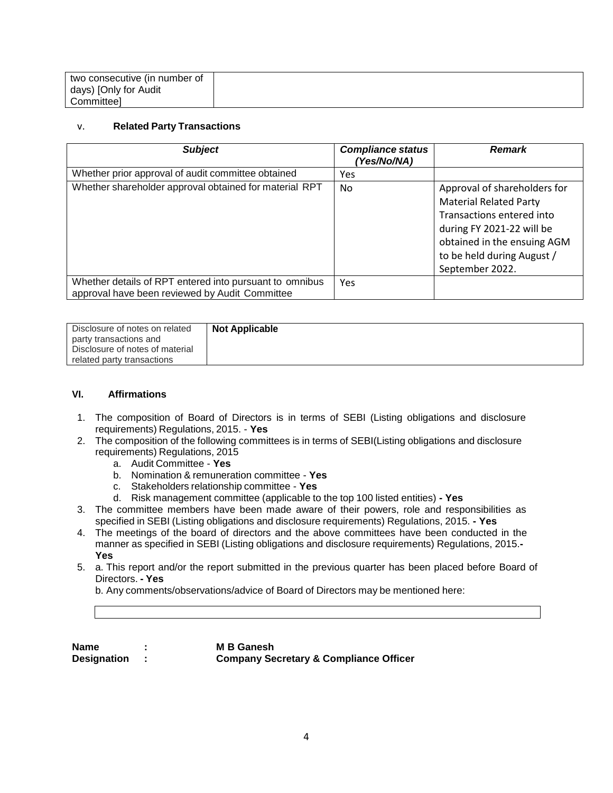| two consecutive (in number of |  |
|-------------------------------|--|
| days) [Only for Audit         |  |
| Committeel                    |  |

#### v. **Related Party Transactions**

| <b>Subject</b>                                                                                            | <b>Compliance status</b><br>(Yes/No/NA) | <b>Remark</b>                                                                                                                                                                                           |
|-----------------------------------------------------------------------------------------------------------|-----------------------------------------|---------------------------------------------------------------------------------------------------------------------------------------------------------------------------------------------------------|
| Whether prior approval of audit committee obtained                                                        | Yes                                     |                                                                                                                                                                                                         |
| Whether shareholder approval obtained for material RPT                                                    | No                                      | Approval of shareholders for<br><b>Material Related Party</b><br>Transactions entered into<br>during FY 2021-22 will be<br>obtained in the ensuing AGM<br>to be held during August /<br>September 2022. |
| Whether details of RPT entered into pursuant to omnibus<br>approval have been reviewed by Audit Committee | Yes                                     |                                                                                                                                                                                                         |

| Disclosure of notes on related  | <b>Not Applicable</b> |
|---------------------------------|-----------------------|
| party transactions and          |                       |
| Disclosure of notes of material |                       |
| related party transactions      |                       |

#### **VI. Affirmations**

- 1. The composition of Board of Directors is in terms of SEBI (Listing obligations and disclosure requirements) Regulations, 2015. - **Yes**
- 2. The composition of the following committees is in terms of SEBI(Listing obligations and disclosure requirements) Regulations, 2015
	- a. Audit Committee **Yes**
	- b. Nomination & remuneration committee **Yes**
	- c. Stakeholders relationship committee **Yes**
	- d. Risk management committee (applicable to the top 100 listed entities) **- Yes**
- 3. The committee members have been made aware of their powers, role and responsibilities as specified in SEBI (Listing obligations and disclosure requirements) Regulations, 2015. **- Yes**
- 4. The meetings of the board of directors and the above committees have been conducted in the manner as specified in SEBI (Listing obligations and disclosure requirements) Regulations, 2015.**- Yes**
- 5. a. This report and/or the report submitted in the previous quarter has been placed before Board of Directors. **- Yes**

b. Any comments/observations/advice of Board of Directors may be mentioned here:

| Name               | <b>M B Ganesh</b>                                 |
|--------------------|---------------------------------------------------|
| <b>Designation</b> | <b>Company Secretary &amp; Compliance Officer</b> |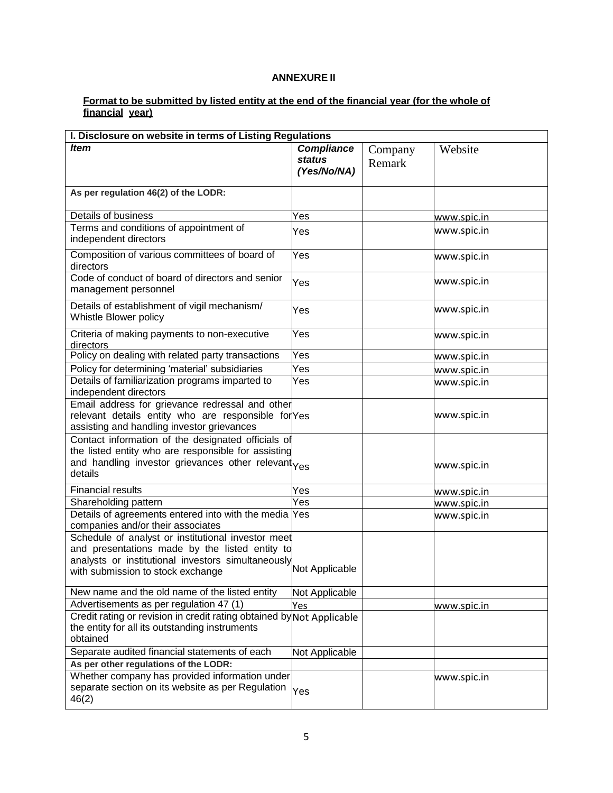### **ANNEXURE II**

#### **Format to be submitted by listed entity at the end of the financial year (for the whole of financial year)**

| I. Disclosure on website in terms of Listing Regulations                                                                                                                                        |                                                   |                   |             |
|-------------------------------------------------------------------------------------------------------------------------------------------------------------------------------------------------|---------------------------------------------------|-------------------|-------------|
| <b>Item</b>                                                                                                                                                                                     | <b>Compliance</b><br><b>status</b><br>(Yes/No/NA) | Company<br>Remark | Website     |
| As per regulation 46(2) of the LODR:                                                                                                                                                            |                                                   |                   |             |
| Details of business                                                                                                                                                                             | Yes                                               |                   | www.spic.in |
| Terms and conditions of appointment of<br>independent directors                                                                                                                                 | Yes                                               |                   | www.spic.in |
| Composition of various committees of board of<br>directors                                                                                                                                      | Yes                                               |                   | www.spic.in |
| Code of conduct of board of directors and senior<br>management personnel                                                                                                                        | Yes                                               |                   | www.spic.in |
| Details of establishment of vigil mechanism/<br>Whistle Blower policy                                                                                                                           | Yes                                               |                   | www.spic.in |
| Criteria of making payments to non-executive<br>directors                                                                                                                                       | Yes                                               |                   | www.spic.in |
| Policy on dealing with related party transactions                                                                                                                                               | Yes                                               |                   | www.spic.in |
| Policy for determining 'material' subsidiaries                                                                                                                                                  | Yes                                               |                   | www.spic.in |
| Details of familiarization programs imparted to<br>independent directors                                                                                                                        | Yes                                               |                   | www.spic.in |
| Email address for grievance redressal and other<br>relevant details entity who are responsible for Yes<br>assisting and handling investor grievances                                            |                                                   |                   | www.spic.in |
| Contact information of the designated officials of<br>the listed entity who are responsible for assisting<br>and handling investor grievances other relevant<br>details                         |                                                   |                   | www.spic.in |
| <b>Financial results</b>                                                                                                                                                                        | Yes                                               |                   | www.spic.in |
| Shareholding pattern                                                                                                                                                                            | Yes                                               |                   | www.spic.in |
| Details of agreements entered into with the media Yes<br>companies and/or their associates                                                                                                      |                                                   |                   | www.spic.in |
| Schedule of analyst or institutional investor meet<br>and presentations made by the listed entity to<br>analysts or institutional investors simultaneously<br>with submission to stock exchange | Not Applicable                                    |                   |             |
| New name and the old name of the listed entity                                                                                                                                                  | Not Applicable                                    |                   |             |
| Advertisements as per regulation 47 (1)                                                                                                                                                         | Yes                                               |                   | www.spic.in |
| Credit rating or revision in credit rating obtained by Not Applicable<br>the entity for all its outstanding instruments<br>obtained                                                             |                                                   |                   |             |
| Separate audited financial statements of each                                                                                                                                                   | Not Applicable                                    |                   |             |
| As per other regulations of the LODR:                                                                                                                                                           |                                                   |                   |             |
| Whether company has provided information under<br>separate section on its website as per Regulation<br>46(2)                                                                                    | Yes                                               |                   | www.spic.in |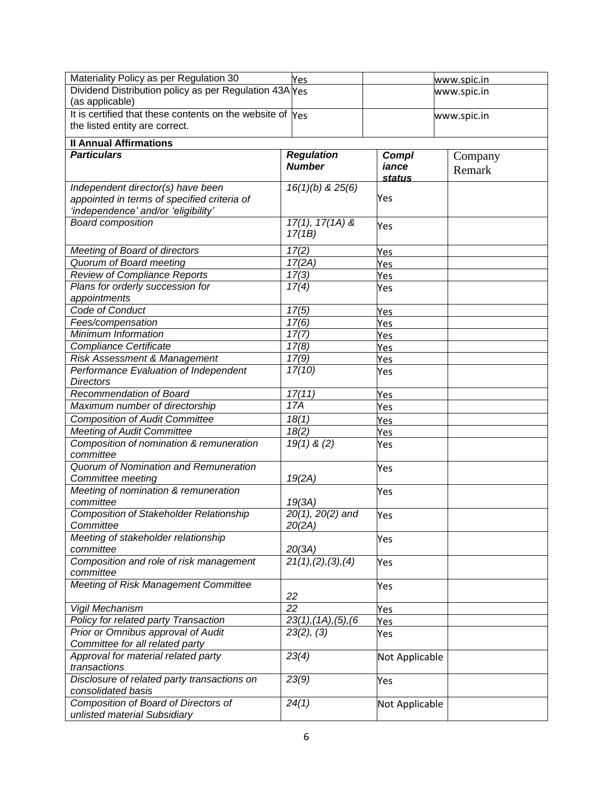| Materiality Policy as per Regulation 30                                            | Yes                              |                | www.spic.in |
|------------------------------------------------------------------------------------|----------------------------------|----------------|-------------|
| Dividend Distribution policy as per Regulation 43A Yes<br>(as applicable)          |                                  |                | www.spic.in |
| It is certified that these contents on the website of Yes                          |                                  |                | www.spic.in |
| the listed entity are correct.                                                     |                                  |                |             |
| <b>Il Annual Affirmations</b>                                                      |                                  |                |             |
| <b>Particulars</b>                                                                 | <b>Regulation</b>                | <b>Compl</b>   | Company     |
|                                                                                    | <b>Number</b>                    | iance          | Remark      |
|                                                                                    |                                  | status         |             |
| Independent director(s) have been                                                  | 16(1)(b) & 25(6)                 | Yes            |             |
| appointed in terms of specified criteria of<br>'independence' and/or 'eligibility' |                                  |                |             |
| <b>Board composition</b>                                                           | $\overline{17(1), 17(1A)}$ &     |                |             |
|                                                                                    | 17(1B)                           | Yes            |             |
| Meeting of Board of directors                                                      | 17(2)                            | Yes            |             |
| Quorum of Board meeting                                                            | 17(2A)                           | Yes            |             |
| Review of Compliance Reports                                                       | 17(3)                            | Yes            |             |
| Plans for orderly succession for                                                   | 17(4)                            | Yes            |             |
| appointments                                                                       |                                  |                |             |
| Code of Conduct                                                                    | 17(5)                            | Yes            |             |
| Fees/compensation                                                                  | 17(6)                            | Yes            |             |
| <b>Minimum Information</b>                                                         | 17(7)                            | Yes            |             |
| <b>Compliance Certificate</b>                                                      | 17(8)                            | Yes            |             |
| Risk Assessment & Management                                                       | 17(9)                            | Yes            |             |
| Performance Evaluation of Independent                                              | 17(10)                           | Yes            |             |
| <b>Directors</b>                                                                   |                                  |                |             |
| Recommendation of Board                                                            | 17(11)                           | Yes            |             |
| Maximum number of directorship                                                     | 17A                              | Yes            |             |
| <b>Composition of Audit Committee</b>                                              | 18(1)                            | Yes            |             |
| <b>Meeting of Audit Committee</b>                                                  | 18(2)                            | Yes            |             |
| Composition of nomination & remuneration                                           | $19(1)$ & (2)                    | Yes            |             |
| committee                                                                          |                                  |                |             |
| Quorum of Nomination and Remuneration                                              |                                  | Yes            |             |
| Committee meeting                                                                  | 19(2A)                           |                |             |
| Meeting of nomination & remuneration                                               |                                  | Yes            |             |
| committee                                                                          | 19(3A)                           |                |             |
| <b>Composition of Stakeholder Relationship</b>                                     | 20(1), 20(2) and                 | Yes            |             |
| Committee                                                                          | 20(2A)                           |                |             |
| Meeting of stakeholder relationship                                                |                                  | Yes            |             |
| committee                                                                          | 20(3A)                           |                |             |
| Composition and role of risk management                                            | 21(1), (2), (3), (4)             | Yes            |             |
| committee                                                                          |                                  |                |             |
| Meeting of Risk Management Committee                                               | 22                               | Yes            |             |
| Vigil Mechanism                                                                    | $\overline{22}$                  | Yes            |             |
| Policy for related party Transaction                                               | $23(1)$ , $(1A)$ , $(5)$ , $(6)$ | Yes            |             |
| Prior or Omnibus approval of Audit                                                 | 23(2), (3)                       | Yes            |             |
| Committee for all related party                                                    |                                  |                |             |
| Approval for material related party                                                | 23(4)                            | Not Applicable |             |
| transactions                                                                       |                                  |                |             |
| Disclosure of related party transactions on<br>consolidated basis                  | 23(9)                            | Yes            |             |
| Composition of Board of Directors of<br>unlisted material Subsidiary               | 24(1)                            | Not Applicable |             |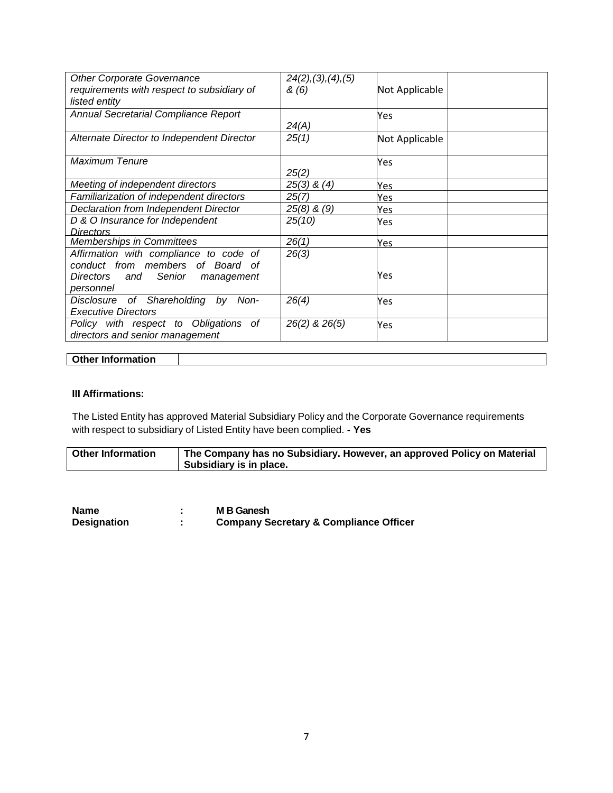| <b>Other Corporate Governance</b><br>requirements with respect to subsidiary of<br>listed entity                           | 24(2), (3), (4), (5)<br>& (6) | Not Applicable |
|----------------------------------------------------------------------------------------------------------------------------|-------------------------------|----------------|
| Annual Secretarial Compliance Report                                                                                       | 24(A)                         | Yes            |
| Alternate Director to Independent Director                                                                                 | 25(1)                         | Not Applicable |
| Maximum Tenure                                                                                                             | 25(2)                         | Yes            |
| Meeting of independent directors                                                                                           | $25(3)$ & $(4)$               | Yes            |
| Familiarization of independent directors                                                                                   | 25(7)                         | Yes            |
| Declaration from Independent Director                                                                                      | $25(8)$ & $(9)$               | Yes            |
| D & O Insurance for Independent                                                                                            | 25(10)                        | Yes            |
| Directors                                                                                                                  |                               |                |
| Memberships in Committees                                                                                                  | 26(1)                         | Yes            |
| Affirmation with compliance to code of<br>conduct from members of Board of<br>Directors and Senior management<br>personnel | 26(3)                         | Yes            |
| Disclosure of Shareholding<br>by<br>Non-<br><b>Executive Directors</b>                                                     | 26(4)                         | Yes            |
| Policy with respect to Obligations of<br>directors and senior management                                                   | 26(2) & 26(5)                 | Yes            |

| <b>Other Information</b> |  |
|--------------------------|--|
|--------------------------|--|

### **III Affirmations:**

 $\overline{\phantom{a}}$ 

The Listed Entity has approved Material Subsidiary Policy and the Corporate Governance requirements with respect to subsidiary of Listed Entity have been complied. **- Yes**

| <b>Other Information</b> | The Company has no Subsidiary. However, an approved Policy on Material |
|--------------------------|------------------------------------------------------------------------|
|                          | Subsidiary is in place.                                                |

| <b>Name</b>        | M B Ganesh                                        |
|--------------------|---------------------------------------------------|
| <b>Designation</b> | <b>Company Secretary &amp; Compliance Officer</b> |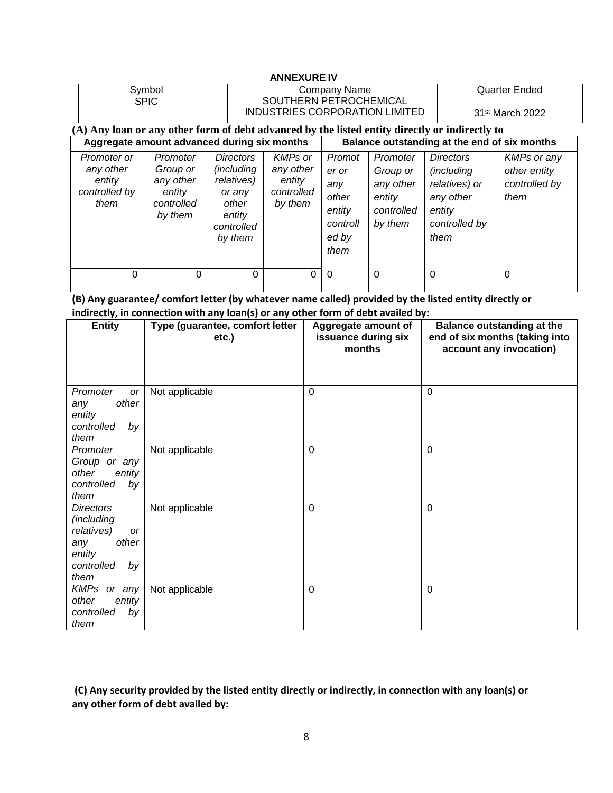|                                                                                             |                                                                      |                                                                                                            | <b>ANNEXURE IV</b>                                                       |                                                                        |                                                                      |                                                                                                        |                                                             |  |
|---------------------------------------------------------------------------------------------|----------------------------------------------------------------------|------------------------------------------------------------------------------------------------------------|--------------------------------------------------------------------------|------------------------------------------------------------------------|----------------------------------------------------------------------|--------------------------------------------------------------------------------------------------------|-------------------------------------------------------------|--|
| Symbol<br><b>SPIC</b>                                                                       |                                                                      |                                                                                                            | Company Name<br>SOUTHERN PETROCHEMICAL<br>INDUSTRIES CORPORATION LIMITED |                                                                        |                                                                      |                                                                                                        | <b>Quarter Ended</b><br>31 <sup>st</sup> March 2022         |  |
|                                                                                             |                                                                      |                                                                                                            |                                                                          |                                                                        |                                                                      | (A) Any loan or any other form of debt advanced by the listed entity directly or indirectly to         |                                                             |  |
| Aggregate amount advanced during six months<br>Balance outstanding at the end of six months |                                                                      |                                                                                                            |                                                                          |                                                                        |                                                                      |                                                                                                        |                                                             |  |
| Promoter or<br>any other<br>entity<br>controlled by<br>them                                 | Promoter<br>Group or<br>any other<br>entity<br>controlled<br>by them | <b>Directors</b><br><i>(including)</i><br>relatives)<br>or any<br>other<br>entity<br>controlled<br>by them | <b>KMPs or</b><br>any other<br>entity<br>controlled<br>by them           | Promot<br>er or<br>any<br>other<br>entity<br>controll<br>ed by<br>them | Promoter<br>Group or<br>any other<br>entity<br>controlled<br>by them | <b>Directors</b><br><i>(including</i><br>relatives) or<br>any other<br>entity<br>controlled by<br>them | <b>KMPs or any</b><br>other entity<br>controlled by<br>them |  |
| $\Omega$                                                                                    | $\Omega$                                                             | 0                                                                                                          | 0                                                                        | $\Omega$                                                               | $\Omega$                                                             | $\Omega$                                                                                               | 0                                                           |  |

**(B) Any guarantee/ comfort letter (by whatever name called) provided by the listed entity directly or indirectly, in connection with any loan(s) or any other form of debt availed by:**

| <b>Entity</b>                                                                                            | Type (guarantee, comfort letter<br>etc.) | Aggregate amount of<br>issuance during six<br>months | <b>Balance outstanding at the</b><br>end of six months (taking into<br>account any invocation) |
|----------------------------------------------------------------------------------------------------------|------------------------------------------|------------------------------------------------------|------------------------------------------------------------------------------------------------|
| Promoter<br>or<br>other<br>any<br>entity<br>controlled<br>by<br>them                                     | Not applicable                           | $\mathbf 0$                                          | 0                                                                                              |
| Promoter<br>Group or any<br>other<br>entity<br>controlled<br>by<br>them                                  | Not applicable                           | $\mathbf 0$                                          | 0                                                                                              |
| <b>Directors</b><br>(including<br>relatives)<br>or<br>other<br>any<br>entity<br>controlled<br>by<br>them | Not applicable                           | $\mathbf 0$                                          | $\Omega$                                                                                       |
| KMPs or any<br>other<br>entity<br>controlled<br>by<br>them                                               | Not applicable                           | $\mathbf 0$                                          | 0                                                                                              |

**(C) Any security provided by the listed entity directly or indirectly, in connection with any loan(s) or any other form of debt availed by:**